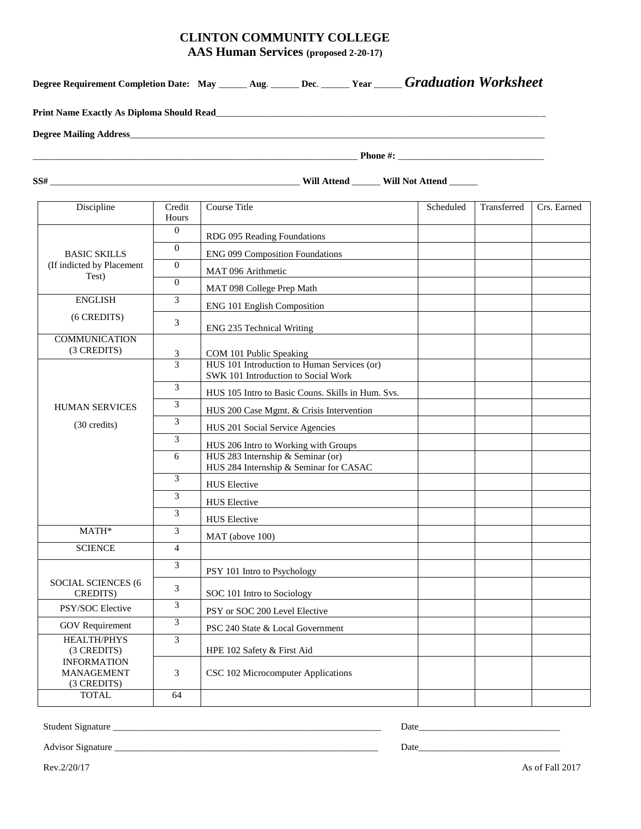# **CLINTON COMMUNITY COLLEGE**

**AAS Human Services (proposed 2-20-17)**

|                                                 |                 | Degree Requirement Completion Date: May ______ Aug. ______ Dec. ______ Year _____ Graduation Worksheet |           |                            |  |  |
|-------------------------------------------------|-----------------|--------------------------------------------------------------------------------------------------------|-----------|----------------------------|--|--|
|                                                 |                 |                                                                                                        |           |                            |  |  |
|                                                 |                 |                                                                                                        |           |                            |  |  |
|                                                 |                 |                                                                                                        |           |                            |  |  |
|                                                 |                 |                                                                                                        |           |                            |  |  |
| Discipline                                      | Credit<br>Hours | Course Title                                                                                           | Scheduled | Crs. Earned<br>Transferred |  |  |
|                                                 | $\overline{0}$  | RDG 095 Reading Foundations                                                                            |           |                            |  |  |
| <b>BASIC SKILLS</b>                             | $\Omega$        | <b>ENG 099 Composition Foundations</b>                                                                 |           |                            |  |  |
| (If indicted by Placement<br>Test)              | $\mathbf{0}$    | MAT 096 Arithmetic                                                                                     |           |                            |  |  |
|                                                 | $\mathbf{0}$    | MAT 098 College Prep Math                                                                              |           |                            |  |  |
| <b>ENGLISH</b>                                  | 3               | <b>ENG 101 English Composition</b>                                                                     |           |                            |  |  |
| (6 CREDITS)                                     | 3               | ENG 235 Technical Writing                                                                              |           |                            |  |  |
| <b>COMMUNICATION</b><br>(3 CREDITS)             | 3               | COM 101 Public Speaking                                                                                |           |                            |  |  |
|                                                 | 3               | HUS 101 Introduction to Human Services (or)<br>SWK 101 Introduction to Social Work                     |           |                            |  |  |
|                                                 | 3               | HUS 105 Intro to Basic Couns. Skills in Hum. Svs.                                                      |           |                            |  |  |
| <b>HUMAN SERVICES</b>                           | 3               | HUS 200 Case Mgmt. & Crisis Intervention                                                               |           |                            |  |  |
| (30 credits)                                    | 3               | HUS 201 Social Service Agencies                                                                        |           |                            |  |  |
|                                                 | 3               | HUS 206 Intro to Working with Groups                                                                   |           |                            |  |  |
|                                                 | 6               | HUS 283 Internship & Seminar (or)<br>HUS 284 Internship & Seminar for CASAC                            |           |                            |  |  |
|                                                 | 3               | <b>HUS</b> Elective                                                                                    |           |                            |  |  |
|                                                 | 3               | <b>HUS</b> Elective                                                                                    |           |                            |  |  |
|                                                 | 3               | <b>HUS</b> Elective                                                                                    |           |                            |  |  |
| MATH*                                           | 3               | MAT (above 100)                                                                                        |           |                            |  |  |
| <b>SCIENCE</b>                                  | 4               |                                                                                                        |           |                            |  |  |
|                                                 | 3               | PSY 101 Intro to Psychology                                                                            |           |                            |  |  |
| <b>SOCIAL SCIENCES (6</b><br>CREDITS)           | 3               | SOC 101 Intro to Sociology                                                                             |           |                            |  |  |
| PSY/SOC Elective                                | 3               | PSY or SOC 200 Level Elective                                                                          |           |                            |  |  |
| <b>GOV</b> Requirement                          | $\mathfrak{Z}$  | PSC 240 State & Local Government                                                                       |           |                            |  |  |
| <b>HEALTH/PHYS</b><br>(3 CREDITS)               | 3               | HPE 102 Safety & First Aid                                                                             |           |                            |  |  |
| <b>INFORMATION</b><br>MANAGEMENT<br>(3 CREDITS) | 3               | CSC 102 Microcomputer Applications                                                                     |           |                            |  |  |
| <b>TOTAL</b><br>64                              |                 |                                                                                                        |           |                            |  |  |

Student Signature \_\_\_\_\_\_\_\_\_\_\_\_\_\_\_\_\_\_\_\_\_\_\_\_\_\_\_\_\_\_\_\_\_\_\_\_\_\_\_\_\_\_\_\_\_\_\_\_\_\_\_\_\_\_\_\_\_ Date\_\_\_\_\_\_\_\_\_\_\_\_\_\_\_\_\_\_\_\_\_\_\_\_\_\_\_\_\_\_

Advisor Signature \_\_\_\_\_\_\_\_\_\_\_\_\_\_\_\_\_\_\_\_\_\_\_\_\_\_\_\_\_\_\_\_\_\_\_\_\_\_\_\_\_\_\_\_\_\_\_\_\_\_\_\_\_\_\_\_ Date\_\_\_\_\_\_\_\_\_\_\_\_\_\_\_\_\_\_\_\_\_\_\_\_\_\_\_\_\_\_